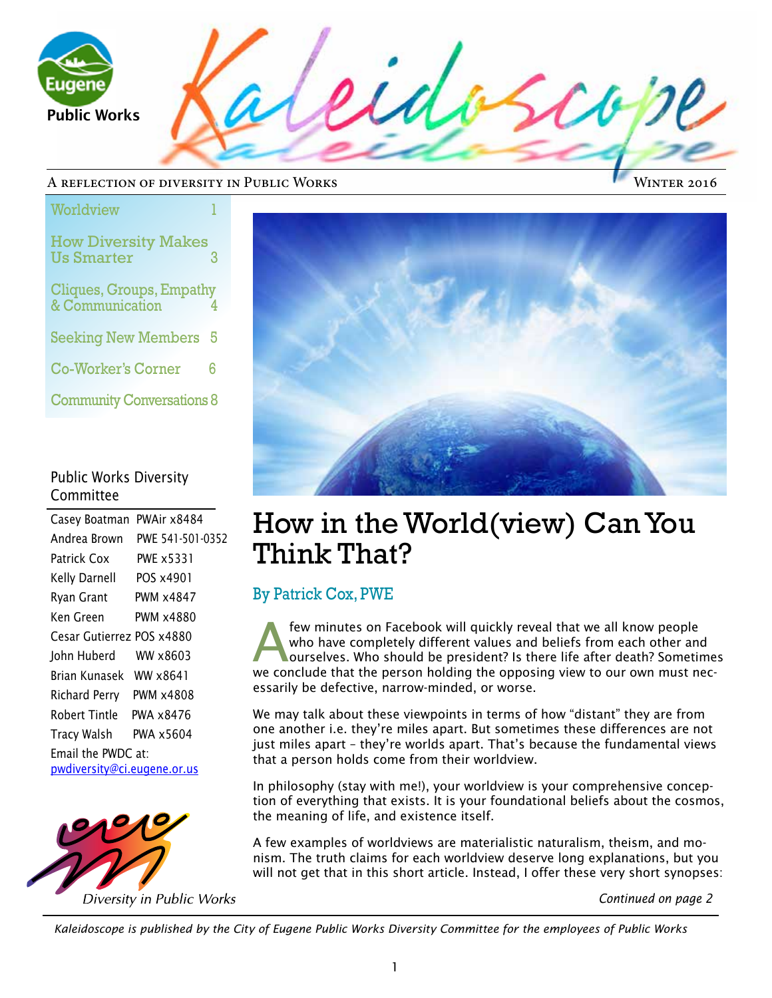$\overline{\mathcal{L}b}$ Public Works

#### A reflection of diversity in Public Works

Winter 2016

| Worldview                                       |   |
|-------------------------------------------------|---|
| <b>How Diversity Makes</b><br><b>Us Smarter</b> | 3 |
| Cliques, Groups, Empathy<br>& Communication     | 4 |
| <b>Seeking New Members</b>                      | 5 |
| <b>Co-Worker's Corner</b>                       | հ |
| <b>Community Conversations 8</b>                |   |

### Public Works Diversity Committee

| Casey Boatman               | PWAir x8484      |
|-----------------------------|------------------|
| Andrea Brown                | PWE 541-501-0352 |
| Patrick Cox                 | PWE x5331        |
| Kelly Darnell               | POS x4901        |
| Ryan Grant                  | PWM x4847        |
| Ken Green                   | PWM x4880        |
| Cesar Gutierrez POS x4880   |                  |
| John Huberd                 | WW x8603         |
| Brian Kunasek WW x8641      |                  |
| Richard Perry PWM x4808     |                  |
| Robert Tintle               | PWA x8476        |
| Tracy Walsh                 | PWA x5604        |
| Email the PWDC at:          |                  |
| pwdiversity@ci.eugene.or.us |                  |





## How in the World(view) Can You Think That?

### By Patrick Cox, PWE

Few minutes on Facebook will quickly reveal that we all know people<br>who have completely different values and beliefs from each other and<br>ourselves. Who should be president? Is there life after death? Sometimes<br>we conclude who have completely different values and beliefs from each other and we conclude that the person holding the opposing view to our own must necessarily be defective, narrow-minded, or worse.

We may talk about these viewpoints in terms of how "distant" they are from one another i.e. they're miles apart. But sometimes these differences are not just miles apart – they're worlds apart. That's because the fundamental views that a person holds come from their worldview.

In philosophy (stay with me!), your worldview is your comprehensive conception of everything that exists. It is your foundational beliefs about the cosmos, the meaning of life, and existence itself.

A few examples of worldviews are materialistic naturalism, theism, and monism. The truth claims for each worldview deserve long explanations, but you will not get that in this short article. Instead, I offer these very short synopses:

*Continued on page 2*

*Kaleidoscope is published by the City of Eugene Public Works Diversity Committee for the employees of Public Works*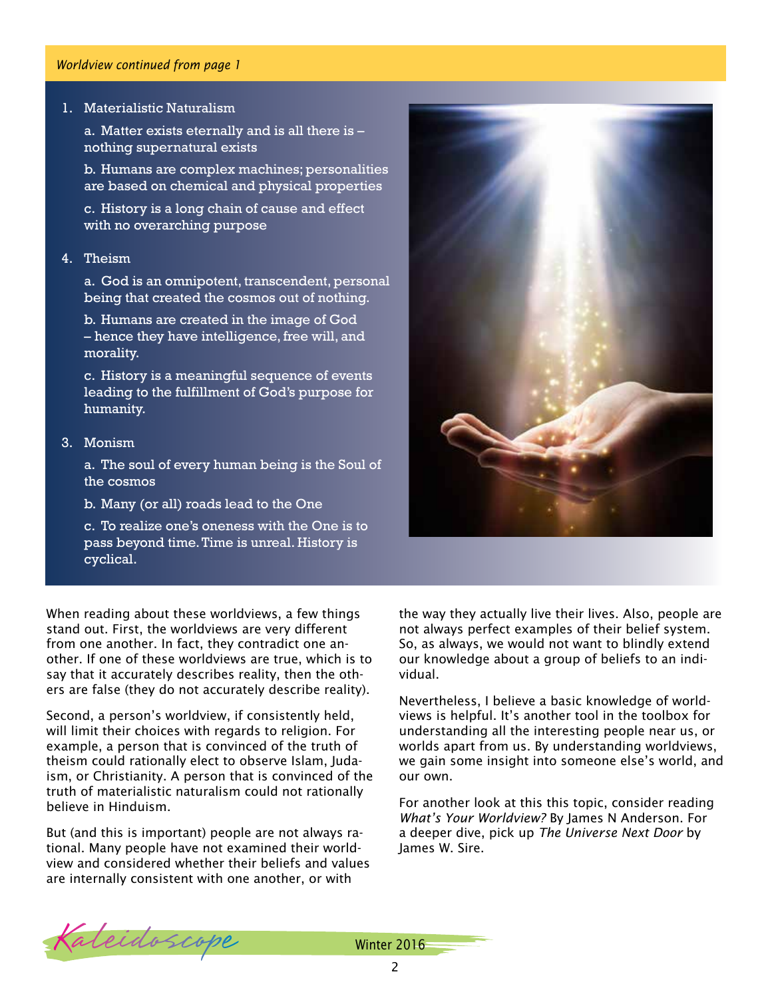#### *Worldview continued from page 1*

#### 1. Materialistic Naturalism

a. Matter exists eternally and is all there is – nothing supernatural exists

b. Humans are complex machines; personalities are based on chemical and physical properties

c. History is a long chain of cause and effect with no overarching purpose

#### 4. Theism

a. God is an omnipotent, transcendent, personal being that created the cosmos out of nothing.

b. Humans are created in the image of God – hence they have intelligence, free will, and morality.

c. History is a meaningful sequence of events leading to the fulfillment of God's purpose for humanity.

#### 3. Monism

a. The soul of every human being is the Soul of the cosmos

b. Many (or all) roads lead to the One

c. To realize one's oneness with the One is to pass beyond time. Time is unreal. History is cyclical.

When reading about these worldviews, a few things stand out. First, the worldviews are very different from one another. In fact, they contradict one another. If one of these worldviews are true, which is to say that it accurately describes reality, then the others are false (they do not accurately describe reality).

Second, a person's worldview, if consistently held, will limit their choices with regards to religion. For example, a person that is convinced of the truth of theism could rationally elect to observe Islam, Judaism, or Christianity. A person that is convinced of the truth of materialistic naturalism could not rationally believe in Hinduism.

But (and this is important) people are not always rational. Many people have not examined their worldview and considered whether their beliefs and values are internally consistent with one another, or with



the way they actually live their lives. Also, people are not always perfect examples of their belief system. So, as always, we would not want to blindly extend our knowledge about a group of beliefs to an individual.

Nevertheless, I believe a basic knowledge of worldviews is helpful. It's another tool in the toolbox for understanding all the interesting people near us, or worlds apart from us. By understanding worldviews, we gain some insight into someone else's world, and our own.

For another look at this this topic, consider reading *What's Your Worldview?* By James N Anderson. For a deeper dive, pick up *The Universe Next Door* by James W. Sire.

Kaleidoscope Winter 2016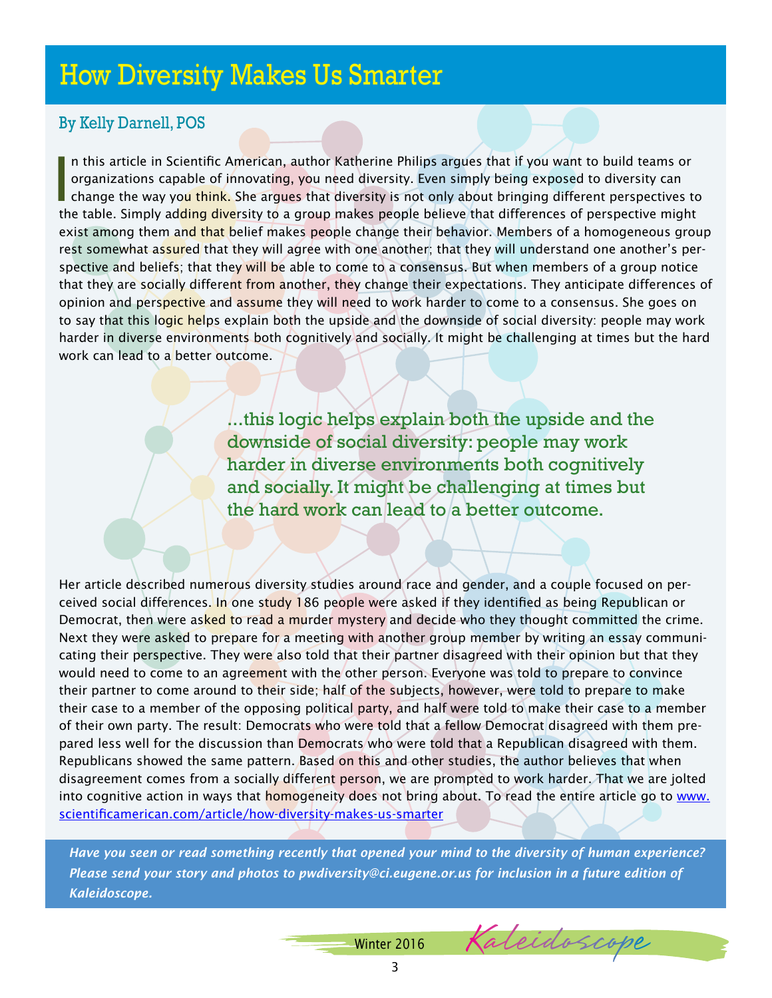## How Diversity Makes Us Smarter

## By Kelly Darnell, POS

In this article in Scientific American, author Katherine Philips argues that if you want to build teams or organizations capable of innovating, you need diversity. Even simply being exposed to diversity can change the way n this article in Scientific American, author Katherine Philips argues that if you want to build teams or organizations capable of innovating, you need diversity. Even simply being exposed to diversity can the table. Simply adding diversity to a group makes people believe that differences of perspective might exist among them and that belief makes people change their behavior. Members of a homogeneous group rest somewhat assured that they will agree with one another; that they will understand one another's perspective and beliefs; that they will be able to come to a consensus. But when members of a group notice that they are socially different from another, they change their expectations. They anticipate differences of opinion and perspective and assume they will need to work harder to come to a consensus. She goes on to say that this logic helps explain both the upside and the downside of social diversity: people may work harder in diverse environments both cognitively and socially. It might be challenging at times but the hard work can lead to a better outcome.

> ...this logic helps explain both the upside and the downside of social diversity: people may work harder in diverse environments both cognitively and socially. It might be challenging at times but the hard work can lead to a better outcome.

Her article described numerous diversity studies around race and gender, and a couple focused on perceived social differences. In one study 186 people were asked if they identified as being Republican or Democrat, then were asked to read a murder mystery and decide who they thought committed the crime. Next they were asked to prepare for a meeting with another group member by writing an essay communicating their perspective. They were also told that their partner disagreed with their opinion but that they would need to come to an agreement with the other person. Everyone was told to prepare to convince their partner to come around to their side; half of the subjects, however, were told to prepare to make their case to a member of the opposing political party, and half were told to make their case to a member of their own party. The result: Democrats who were told that a fellow Democrat disagreed with them prepared less well for the discussion than Democrats who were told that a Republican disagreed with them. Republicans showed the same pattern. Based on this and other studies, the author believes that when disagreement comes from a socially different person, we are prompted to work harder. That we are jolted into cognitive action in ways that homogeneity does not bring about. To read the entire article go to www. scientificamerican.com/article/how-diversity-makes-us-smarter

*Have you seen or read something recently that opened your mind to the diversity of human experience? Please send your story and photos to pwdiversity@ci.eugene.or.us for inclusion in a future edition of Kaleidoscope.* 

Winter 2016

3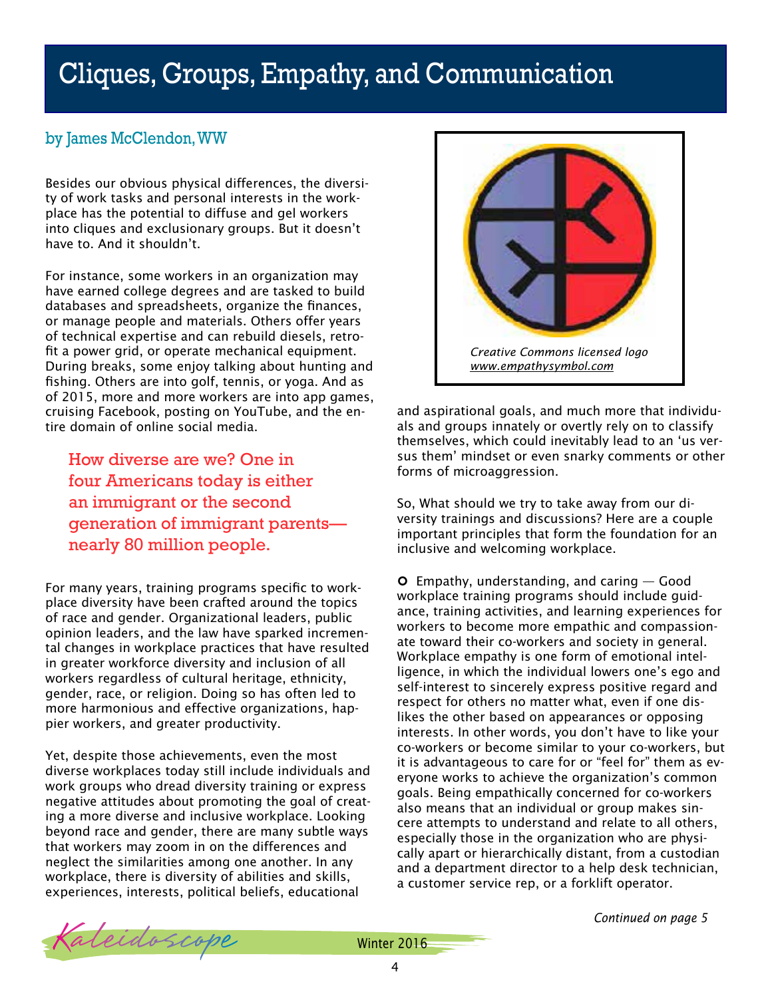# Cliques, Groups, Empathy, and Communication

## by James McClendon, WW

Besides our obvious physical differences, the diversity of work tasks and personal interests in the workplace has the potential to diffuse and gel workers into cliques and exclusionary groups. But it doesn't have to. And it shouldn't.

For instance, some workers in an organization may have earned college degrees and are tasked to build databases and spreadsheets, organize the finances, or manage people and materials. Others offer years of technical expertise and can rebuild diesels, retrofit a power grid, or operate mechanical equipment. During breaks, some enjoy talking about hunting and fishing. Others are into golf, tennis, or yoga. And as of 2015, more and more workers are into app games, cruising Facebook, posting on YouTube, and the entire domain of online social media.

How diverse are we? One in four Americans today is either an immigrant or the second generation of immigrant parents nearly 80 million people.

For many years, training programs specific to workplace diversity have been crafted around the topics of race and gender. Organizational leaders, public opinion leaders, and the law have sparked incremental changes in workplace practices that have resulted in greater workforce diversity and inclusion of all workers regardless of cultural heritage, ethnicity, gender, race, or religion. Doing so has often led to more harmonious and effective organizations, happier workers, and greater productivity.

Yet, despite those achievements, even the most diverse workplaces today still include individuals and work groups who dread diversity training or express negative attitudes about promoting the goal of creating a more diverse and inclusive workplace. Looking beyond race and gender, there are many subtle ways that workers may zoom in on the differences and neglect the similarities among one another. In any workplace, there is diversity of abilities and skills, experiences, interests, political beliefs, educational



and aspirational goals, and much more that individuals and groups innately or overtly rely on to classify themselves, which could inevitably lead to an 'us versus them' mindset or even snarky comments or other forms of microaggression.

So, What should we try to take away from our diversity trainings and discussions? Here are a couple important principles that form the foundation for an inclusive and welcoming workplace.

 $\circ$  Empathy, understanding, and caring  $-$  Good workplace training programs should include guidance, training activities, and learning experiences for workers to become more empathic and compassionate toward their co-workers and society in general. Workplace empathy is one form of emotional intelligence, in which the individual lowers one's ego and self-interest to sincerely express positive regard and respect for others no matter what, even if one dislikes the other based on appearances or opposing interests. In other words, you don't have to like your co-workers or become similar to your co-workers, but it is advantageous to care for or "feel for" them as everyone works to achieve the organization's common goals. Being empathically concerned for co-workers also means that an individual or group makes sincere attempts to understand and relate to all others, especially those in the organization who are physically apart or hierarchically distant, from a custodian and a department director to a help desk technician, a customer service rep, or a forklift operator.



Kaleidoscope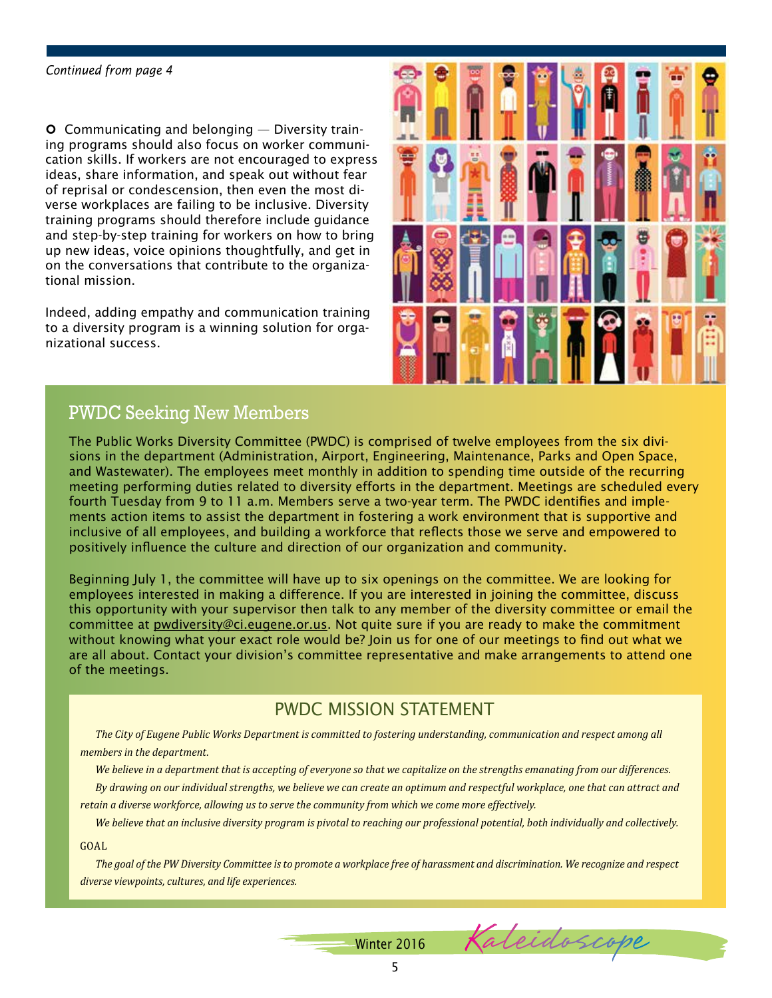#### *Continued from page 4*

**O** Communicating and belonging  $-$  Diversity training programs should also focus on worker communication skills. If workers are not encouraged to express ideas, share information, and speak out without fear of reprisal or condescension, then even the most diverse workplaces are failing to be inclusive. Diversity training programs should therefore include guidance and step-by-step training for workers on how to bring up new ideas, voice opinions thoughtfully, and get in on the conversations that contribute to the organizational mission.

Indeed, adding empathy and communication training to a diversity program is a winning solution for organizational success.



Kaleidoscope

## PWDC Seeking New Members

The Public Works Diversity Committee (PWDC) is comprised of twelve employees from the six divisions in the department (Administration, Airport, Engineering, Maintenance, Parks and Open Space, and Wastewater). The employees meet monthly in addition to spending time outside of the recurring meeting performing duties related to diversity efforts in the department. Meetings are scheduled every fourth Tuesday from 9 to 11 a.m. Members serve a two-year term. The PWDC identifies and implements action items to assist the department in fostering a work environment that is supportive and inclusive of all employees, and building a workforce that reflects those we serve and empowered to positively influence the culture and direction of our organization and community.

Beginning July 1, the committee will have up to six openings on the committee. We are looking for employees interested in making a difference. If you are interested in joining the committee, discuss this opportunity with your supervisor then talk to any member of the diversity committee or email the committee at pwdiversity@ci.eugene.or.us. Not quite sure if you are ready to make the commitment without knowing what your exact role would be? Join us for one of our meetings to find out what we are all about. Contact your division's committee representative and make arrangements to attend one of the meetings.

### PWDC MISSION STATEMENT

*The City of Eugene Public Works Department is committed to fostering understanding, communication and respect among all members in the department.* 

*We believe in a department that is accepting of everyone so that we capitalize on the strengths emanating from our differences. By drawing on our individual strengths, we believe we can create an optimum and respectful workplace, one that can attract and retain a diverse workforce, allowing us to serve the community from which we come more effectively.*

*We believe that an inclusive diversity program is pivotal to reaching our professional potential, both individually and collectively.*

GOAL

*The goal of the PW Diversity Committee is to promote a workplace free of harassment and discrimination. We recognize and respect diverse viewpoints, cultures, and life experiences.*

Winter 2016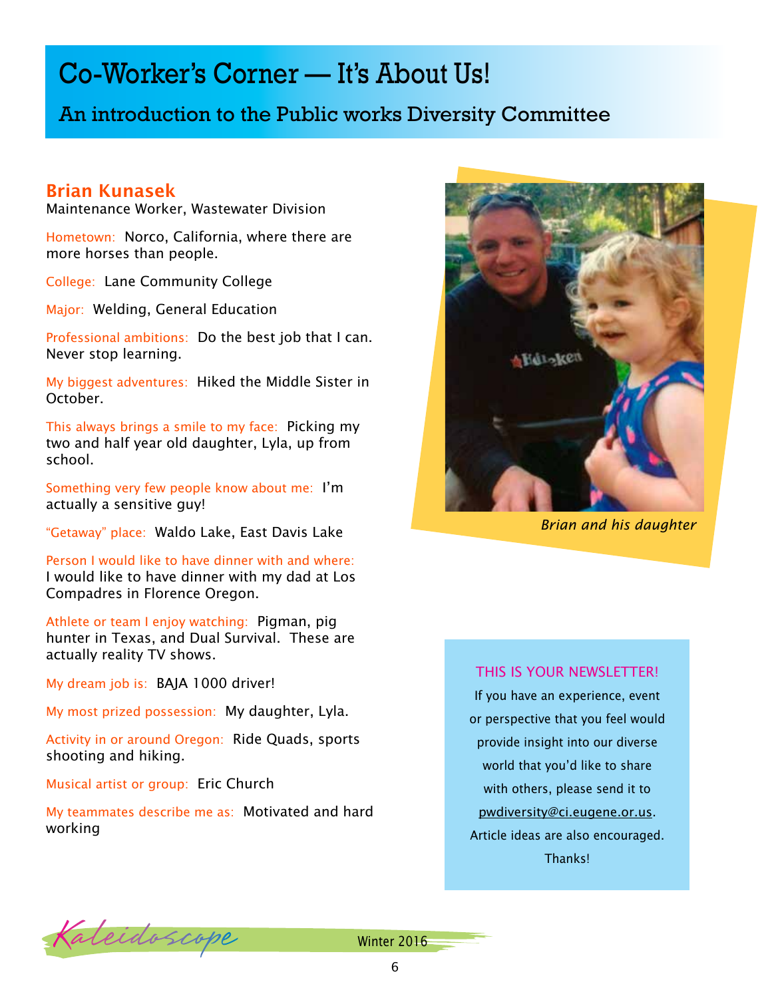## Co-Worker's Corner — It's About Us!

## An introduction to the Public works Diversity Committee

### Brian Kunasek

Maintenance Worker, Wastewater Division

Hometown: Norco, California, where there are more horses than people.

College: Lane Community College

Major: Welding, General Education

Professional ambitions: Do the best job that I can. Never stop learning.

My biggest adventures: Hiked the Middle Sister in October.

This always brings a smile to my face: Picking my two and half year old daughter, Lyla, up from school.

Something very few people know about me: I'm actually a sensitive guy!

"Getaway" place: Waldo Lake, East Davis Lake

Person I would like to have dinner with and where: I would like to have dinner with my dad at Los Compadres in Florence Oregon.

Athlete or team I enjoy watching: Pigman, pig hunter in Texas, and Dual Survival. These are actually reality TV shows.

My dream job is: BAJA 1000 driver!

My most prized possession: My daughter, Lyla.

Activity in or around Oregon: Ride Quads, sports shooting and hiking.

Musical artist or group: Eric Church

My teammates describe me as: Motivated and hard working



*Brian and his daughter*

#### THIS IS YOUR NEWSLETTER!

If you have an experience, event or perspective that you feel would provide insight into our diverse world that you'd like to share with others, please send it to pwdiversity@ci.eugene.or.us. Article ideas are also encouraged. Thanks!

Kaleidoscope Winter 2016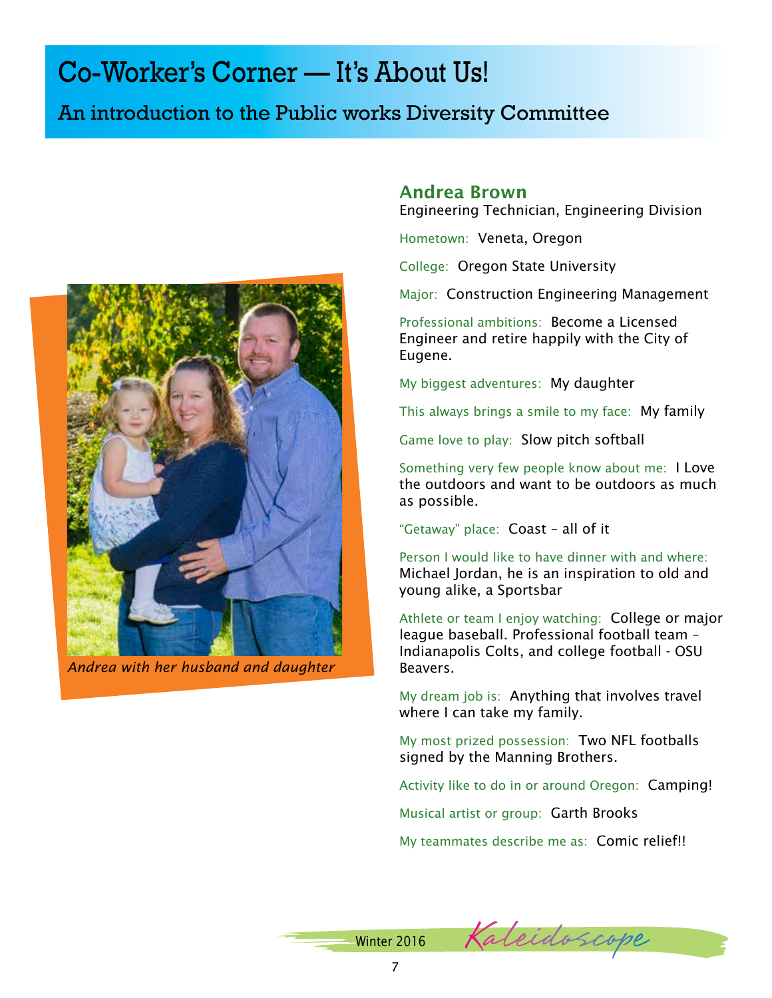# Co-Worker's Corner — It's About Us!

## An introduction to the Public works Diversity Committee



*Andrea with her husband and daughter*

### Andrea Brown

Engineering Technician, Engineering Division

Hometown: Veneta, Oregon

College: Oregon State University

Major: Construction Engineering Management

Professional ambitions: Become a Licensed Engineer and retire happily with the City of Eugene.

My biggest adventures: My daughter

This always brings a smile to my face: My family

Game love to play: Slow pitch softball

Something very few people know about me: I Love the outdoors and want to be outdoors as much as possible.

"Getaway" place: Coast – all of it

Person I would like to have dinner with and where: Michael Jordan, he is an inspiration to old and young alike, a Sportsbar

Athlete or team I enjoy watching: College or major league baseball. Professional football team – Indianapolis Colts, and college football - OSU Beavers.

My dream job is: Anything that involves travel where I can take my family.

My most prized possession: Two NFL footballs signed by the Manning Brothers.

Activity like to do in or around Oregon: Camping!

Musical artist or group: Garth Brooks

My teammates describe me as: Comic relief!!

| Winter 2016 |  | Kaleidoscope |  |
|-------------|--|--------------|--|
|             |  |              |  |